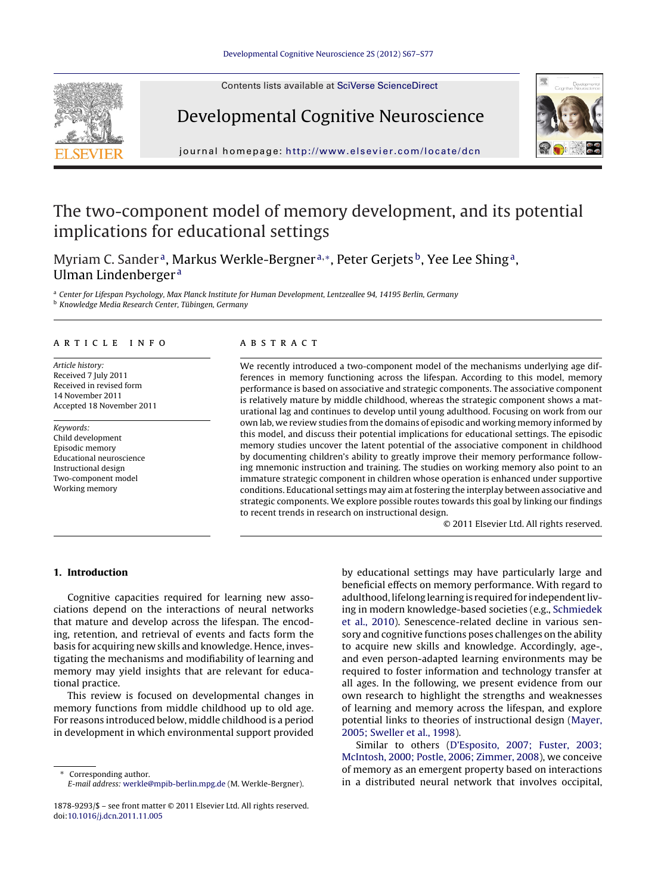Contents lists available at SciVerse [ScienceDirect](http://www.sciencedirect.com/science/journal/18789293)





journal homepage: <http://www.elsevier.com/locate/dcn>

# The two-component model of memory development, and its potential implications for educational settings

Myriam C. Sander<sup>a</sup>, Markus Werkle-Bergner<sup>a,\*</sup>, Peter Gerjets<sup>b</sup>, Yee Lee Shing<sup>a</sup>, Ulman Lindenberger <sup>a</sup>

<sup>a</sup> Center for Lifespan Psychology, Max Planck Institute for Human Development, Lentzeallee 94, 14195 Berlin, Germany

<sup>b</sup> Knowledge Media Research Center, Tübingen, Germany

## a r t i c l e i n f o

Article history: Received 7 July 2011 Received in revised form 14 November 2011 Accepted 18 November 2011

Keywords: Child development Episodic memory Educational neuroscience Instructional design Two-component model Working memory

## a b s t r a c t

We recently introduced a two-component model of the mechanisms underlying age differences in memory functioning across the lifespan. According to this model, memory performance is based on associative and strategic components. The associative component is relatively mature by middle childhood, whereas the strategic component shows a maturational lag and continues to develop until young adulthood. Focusing on work from our own lab, we review studies from the domains of episodic and working memory informed by this model, and discuss their potential implications for educational settings. The episodic memory studies uncover the latent potential of the associative component in childhood by documenting children's ability to greatly improve their memory performance following mnemonic instruction and training. The studies on working memory also point to an immature strategic component in children whose operation is enhanced under supportive conditions. Educational settings may aim at fostering the interplay between associative and strategic components. We explore possible routes towards this goal by linking our findings to recent trends in research on instructional design.

© 2011 Elsevier Ltd. All rights reserved.

# **1. Introduction**

Cognitive capacities required for learning new associations depend on the interactions of neural networks that mature and develop across the lifespan. The encoding, retention, and retrieval of events and facts form the basis for acquiring new skills and knowledge. Hence, investigating the mechanisms and modifiability of learning and memory may yield insights that are relevant for educational practice.

This review is focused on developmental changes in memory functions from middle childhood up to old age. For reasons introduced below, middle childhood is a period in development in which environmental support provided

Corresponding author. E-mail address: [werkle@mpib-berlin.mpg.de](mailto:werkle@mpib-berlin.mpg.de) (M. Werkle-Bergner).

by educational settings may have particularly large and beneficial effects on memory performance. With regard to adulthood, lifelong learning is required for independent living in modern knowledge-based societies (e.g., [Schmiedek](#page-9-0) et [al.,](#page-9-0) [2010\).](#page-9-0) Senescence-related decline in various sensory and cognitive functions poses challenges on the ability to acquire new skills and knowledge. Accordingly, age-, and even person-adapted learning environments may be required to foster information and technology transfer at all ages. In the following, we present evidence from our own research to highlight the strengths and weaknesses of learning and memory across the lifespan, and explore potential links to theories of instructional design ([Mayer,](#page-9-0) [2005;](#page-9-0) [Sweller](#page-9-0) et [al.,](#page-9-0) [1998\).](#page-9-0)

Similar to others ([D'Esposito,](#page-8-0) [2007;](#page-8-0) [Fuster,](#page-8-0) [2003;](#page-8-0) [McIntosh,](#page-8-0) [2000;](#page-8-0) [Postle,](#page-8-0) [2006;](#page-8-0) [Zimmer,](#page-8-0) [2008\),](#page-8-0) we conceive of memory as an emergent property based on interactions in a distributed neural network that involves occipital,

<sup>1878-9293/\$</sup> – see front matter © 2011 Elsevier Ltd. All rights reserved. doi:[10.1016/j.dcn.2011.11.005](dx.doi.org/10.1016/j.dcn.2011.11.005)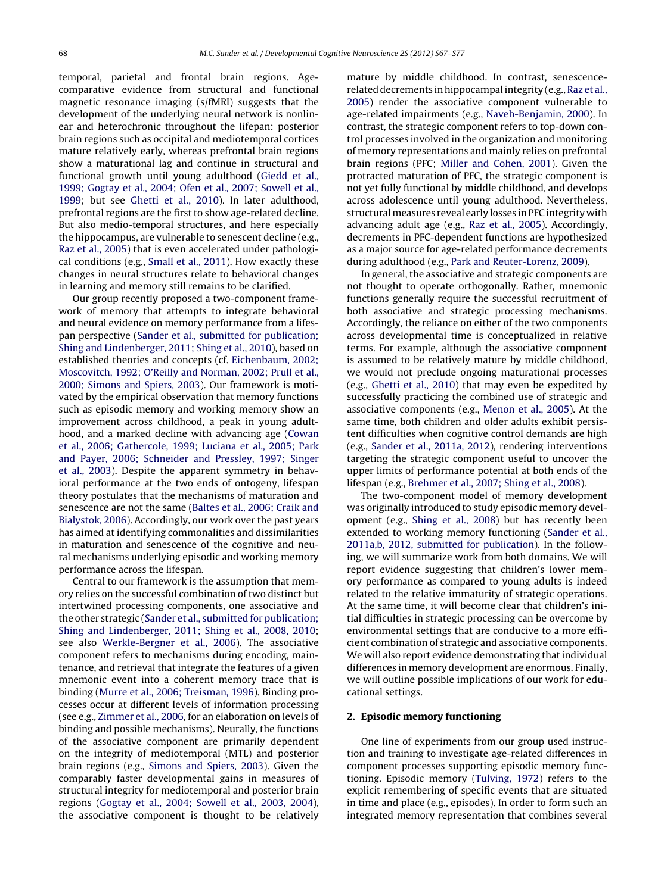temporal, parietal and frontal brain regions. Agecomparative evidence from structural and functional magnetic resonance imaging (s/fMRI) suggests that the development of the underlying neural network is nonlinear and heterochronic throughout the lifepan: posterior brain regions such as occipital and mediotemporal cortices mature relatively early, whereas prefrontal brain regions show a maturational lag and continue in structural and functional growth until young adulthood [\(Giedd](#page-9-0) et [al.,](#page-9-0) [1999;](#page-9-0) [Gogtay](#page-9-0) et [al.,](#page-9-0) [2004;](#page-9-0) [Ofen](#page-9-0) et [al.,](#page-9-0) [2007;](#page-9-0) [Sowell](#page-9-0) et [al.,](#page-9-0) [1999;](#page-9-0) but see [Ghetti](#page-9-0) et [al.,](#page-9-0) [2010\).](#page-9-0) In later adulthood, prefrontal regions are the first to show age-related decline. But also medio-temporal structures, and here especially the hippocampus, are vulnerable to senescent decline (e.g., [Raz](#page-9-0) et [al.,](#page-9-0) [2005\)](#page-9-0) that is even accelerated under pathological conditions (e.g., [Small](#page-10-0) et [al.,](#page-10-0) [2011\).](#page-10-0) How exactly these changes in neural structures relate to behavioral changes in learning and memory still remains to be clarified.

Our group recently proposed a two-component framework of memory that attempts to integrate behavioral and neural evidence on memory performance from a lifespan perspective [\(Sander](#page-9-0) et [al.,](#page-9-0) [submitted](#page-9-0) [for](#page-9-0) [publication;](#page-9-0) [Shing](#page-9-0) [and](#page-9-0) [Lindenberger,](#page-9-0) [2011;](#page-9-0) [Shing](#page-9-0) et [al.,](#page-9-0) [2010\),](#page-9-0) based on established theories and concepts (cf. [Eichenbaum,](#page-9-0) [2002;](#page-9-0) [Moscovitch,](#page-9-0) [1992;](#page-9-0) [O'Reilly](#page-9-0) [and](#page-9-0) [Norman,](#page-9-0) [2002;](#page-9-0) [Prull](#page-9-0) et [al.,](#page-9-0) [2000;](#page-9-0) [Simons](#page-9-0) [and](#page-9-0) [Spiers,](#page-9-0) [2003\).](#page-9-0) Our framework is motivated by the empirical observation that memory functions such as episodic memory and working memory show an improvement across childhood, a peak in young adulthood, and a marked decline with advancing age [\(Cowan](#page-8-0) et [al.,](#page-8-0) [2006;](#page-8-0) [Gathercole,](#page-8-0) [1999;](#page-8-0) [Luciana](#page-8-0) et [al.,](#page-8-0) [2005;](#page-8-0) [Park](#page-8-0) [and](#page-8-0) [Payer,](#page-8-0) [2006;](#page-8-0) [Schneider](#page-8-0) [and](#page-8-0) [Pressley,](#page-8-0) [1997;](#page-8-0) [Singer](#page-8-0) et [al.,](#page-8-0) [2003\).](#page-8-0) Despite the apparent symmetry in behavioral performance at the two ends of ontogeny, lifespan theory postulates that the mechanisms of maturation and senescence are not the same ([Baltes](#page-8-0) et [al.,](#page-8-0) [2006;](#page-8-0) [Craik](#page-8-0) [and](#page-8-0) [Bialystok,](#page-8-0) [2006\).](#page-8-0) Accordingly, our work over the past years has aimed at identifying commonalities and dissimilarities in maturation and senescence of the cognitive and neural mechanisms underlying episodic and working memory performance across the lifespan.

Central to our framework is the assumption that memory relies on the successful combination of two distinct but intertwined processing components, one associative and the other strategic ([Sander](#page-9-0) et [al.,](#page-9-0) [submitted](#page-9-0) [for](#page-9-0) [publication;](#page-9-0) [Shing](#page-9-0) [and](#page-9-0) [Lindenberger,](#page-9-0) [2011;](#page-9-0) [Shing](#page-9-0) et [al.,](#page-9-0) [2008,](#page-9-0) [2010;](#page-9-0) see also [Werkle-Bergner](#page-10-0) et [al.,](#page-10-0) [2006\).](#page-10-0) The associative component refers to mechanisms during encoding, maintenance, and retrieval that integrate the features of a given mnemonic event into a coherent memory trace that is binding ([Murre](#page-9-0) et [al.,](#page-9-0) [2006;](#page-9-0) [Treisman,](#page-9-0) [1996\).](#page-9-0) Binding processes occur at different levels of information processing (see e.g., [Zimmer](#page-10-0) et [al.,](#page-10-0) [2006,](#page-10-0) for an elaboration on levels of binding and possible mechanisms). Neurally, the functions of the associative component are primarily dependent on the integrity of mediotemporal (MTL) and posterior brain regions (e.g., [Simons](#page-10-0) [and](#page-10-0) [Spiers,](#page-10-0) [2003\).](#page-10-0) Given the comparably faster developmental gains in measures of structural integrity for mediotemporal and posterior brain regions [\(Gogtay](#page-9-0) et [al.,](#page-9-0) [2004;](#page-9-0) [Sowell](#page-9-0) et [al.,](#page-9-0) [2003,](#page-9-0) [2004\),](#page-9-0) the associative component is thought to be relatively mature by middle childhood. In contrast, senescence-related decrements in hippocampal integrity (e.g., [Raz](#page-9-0) et [al.,](#page-9-0) [2005\)](#page-9-0) render the associative component vulnerable to age-related impairments (e.g., [Naveh-Benjamin,](#page-9-0) [2000\).](#page-9-0) In contrast, the strategic component refers to top-down control processes involved in the organization and monitoring of memory representations and mainly relies on prefrontal brain regions (PFC; [Miller](#page-9-0) [and](#page-9-0) [Cohen,](#page-9-0) [2001\).](#page-9-0) Given the protracted maturation of PFC, the strategic component is not yet fully functional by middle childhood, and develops across adolescence until young adulthood. Nevertheless, structural measures reveal early losses in PFC integrity with advancing adult age (e.g., [Raz](#page-9-0) et [al.,](#page-9-0) [2005\).](#page-9-0) Accordingly, decrements in PFC-dependent functions are hypothesized as a major source for age-related performance decrements during adulthood (e.g., [Park](#page-9-0) [and](#page-9-0) [Reuter-Lorenz,](#page-9-0) [2009\).](#page-9-0)

In general, the associative and strategic components are not thought to operate orthogonally. Rather, mnemonic functions generally require the successful recruitment of both associative and strategic processing mechanisms. Accordingly, the reliance on either of the two components across developmental time is conceptualized in relative terms. For example, although the associative component is assumed to be relatively mature by middle childhood, we would not preclude ongoing maturational processes (e.g., [Ghetti](#page-9-0) et [al.,](#page-9-0) [2010\)](#page-9-0) that may even be expedited by successfully practicing the combined use of strategic and associative components (e.g., [Menon](#page-9-0) et [al.,](#page-9-0) [2005\).](#page-9-0) At the same time, both children and older adults exhibit persistent difficulties when cognitive control demands are high (e.g., [Sander](#page-9-0) et [al.,](#page-9-0) [2011a,](#page-9-0) [2012\),](#page-9-0) rendering interventions targeting the strategic component useful to uncover the upper limits of performance potential at both ends of the lifespan (e.g., [Brehmer](#page-8-0) et [al.,](#page-8-0) [2007;](#page-8-0) [Shing](#page-8-0) et [al.,](#page-8-0) [2008\).](#page-8-0)

The two-component model of memory development was originally introduced to study episodic memory development (e.g., [Shing](#page-10-0) et [al.,](#page-10-0) [2008\)](#page-10-0) but has recently been extended to working memory functioning ([Sander](#page-9-0) et [al.,](#page-9-0) [2011a,b,](#page-9-0) [2012,](#page-9-0) [submitted](#page-9-0) [for](#page-9-0) [publication\).](#page-9-0) In the following, we will summarize work from both domains. We will report evidence suggesting that children's lower memory performance as compared to young adults is indeed related to the relative immaturity of strategic operations. At the same time, it will become clear that children's initial difficulties in strategic processing can be overcome by environmental settings that are conducive to a more efficient combination of strategic and associative components. We will also report evidence demonstrating that individual differences in memory development are enormous. Finally, we will outline possible implications of our work for educational settings.

## **2. Episodic memory functioning**

One line of experiments from our group used instruction and training to investigate age-related differences in component processes supporting episodic memory functioning. Episodic memory ([Tulving,](#page-10-0) [1972\)](#page-10-0) refers to the explicit remembering of specific events that are situated in time and place (e.g., episodes). In order to form such an integrated memory representation that combines several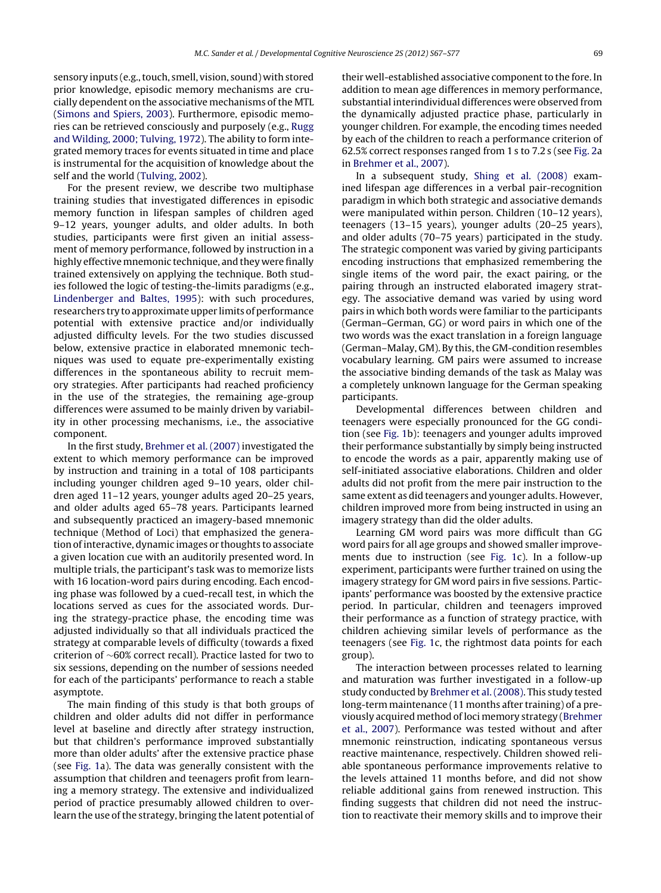sensory inputs (e.g.,touch, smell, vision, sound) with stored prior knowledge, episodic memory mechanisms are crucially dependent on the associative mechanisms ofthe MTL [\(Simons](#page-10-0) [and](#page-10-0) [Spiers,](#page-10-0) [2003\).](#page-10-0) Furthermore, episodic memories can be retrieved consciously and purposely (e.g., [Rugg](#page-9-0) [and](#page-9-0) [Wilding,](#page-9-0) [2000;](#page-9-0) [Tulving,](#page-9-0) [1972\).](#page-9-0) The ability to form integrated memory traces for events situated in time and place is instrumental for the acquisition of knowledge about the self and the world ([Tulving,](#page-10-0) [2002\).](#page-10-0)

For the present review, we describe two multiphase training studies that investigated differences in episodic memory function in lifespan samples of children aged 9–12 years, younger adults, and older adults. In both studies, participants were first given an initial assessment of memory performance, followed by instruction in a highly effective mnemonic technique, and they were finally trained extensively on applying the technique. Both studies followed the logic of testing-the-limits paradigms (e.g., [Lindenberger](#page-9-0) [and](#page-9-0) [Baltes,](#page-9-0) [1995\):](#page-9-0) with such procedures, researchers try to approximate upper limits of performance potential with extensive practice and/or individually adjusted difficulty levels. For the two studies discussed below, extensive practice in elaborated mnemonic techniques was used to equate pre-experimentally existing differences in the spontaneous ability to recruit memory strategies. After participants had reached proficiency in the use of the strategies, the remaining age-group differences were assumed to be mainly driven by variability in other processing mechanisms, i.e., the associative component.

In the first study, [Brehmer](#page-8-0) et [al.](#page-8-0) [\(2007\)](#page-8-0) investigated the extent to which memory performance can be improved by instruction and training in a total of 108 participants including younger children aged 9–10 years, older children aged 11–12 years, younger adults aged 20–25 years, and older adults aged 65–78 years. Participants learned and subsequently practiced an imagery-based mnemonic technique (Method of Loci) that emphasized the generation ofinteractive, dynamic images or thoughts to associate a given location cue with an auditorily presented word. In multiple trials, the participant's task was to memorize lists with 16 location-word pairs during encoding. Each encoding phase was followed by a cued-recall test, in which the locations served as cues for the associated words. During the strategy-practice phase, the encoding time was adjusted individually so that all individuals practiced the strategy at comparable levels of difficulty (towards a fixed criterion of ∼60% correct recall). Practice lasted for two to six sessions, depending on the number of sessions needed for each of the participants' performance to reach a stable asymptote.

The main finding of this study is that both groups of children and older adults did not differ in performance level at baseline and directly after strategy instruction, but that children's performance improved substantially more than older adults' after the extensive practice phase (see [Fig.](#page-3-0) 1a). The data was generally consistent with the assumption that children and teenagers profit from learning a memory strategy. The extensive and individualized period of practice presumably allowed children to overlearn the use of the strategy, bringing the latent potential of their well-established associative component to the fore. In addition to mean age differences in memory performance, substantial interindividual differences were observed from the dynamically adjusted practice phase, particularly in younger children. For example, the encoding times needed by each of the children to reach a performance criterion of 62.5% correct responses ranged from 1 s to 7.2 s (see [Fig.](#page-4-0) 2a in [Brehmer](#page-8-0) et [al.,](#page-8-0) [2007\).](#page-8-0)

In a subsequent study, [Shing](#page-10-0) et [al.](#page-10-0) [\(2008\)](#page-10-0) examined lifespan age differences in a verbal pair-recognition paradigm in which both strategic and associative demands were manipulated within person. Children (10–12 years), teenagers (13–15 years), younger adults (20–25 years), and older adults (70–75 years) participated in the study. The strategic component was varied by giving participants encoding instructions that emphasized remembering the single items of the word pair, the exact pairing, or the pairing through an instructed elaborated imagery strategy. The associative demand was varied by using word pairs in which both words were familiar to the participants (German–German, GG) or word pairs in which one of the two words was the exact translation in a foreign language (German-Malay, GM). By this, the GM-condition resembles vocabulary learning. GM pairs were assumed to increase the associative binding demands of the task as Malay was a completely unknown language for the German speaking participants.

Developmental differences between children and teenagers were especially pronounced for the GG condition (see [Fig.](#page-3-0) 1b): teenagers and younger adults improved their performance substantially by simply being instructed to encode the words as a pair, apparently making use of self-initiated associative elaborations. Children and older adults did not profit from the mere pair instruction to the same extent as did teenagers and younger adults. However, children improved more from being instructed in using an imagery strategy than did the older adults.

Learning GM word pairs was more difficult than GG word pairs for all age groups and showed smaller improvements due to instruction (see [Fig.](#page-3-0) 1c). In a follow-up experiment, participants were further trained on using the imagery strategy for GM word pairs in five sessions. Participants' performance was boosted by the extensive practice period. In particular, children and teenagers improved their performance as a function of strategy practice, with children achieving similar levels of performance as the teenagers (see [Fig.](#page-3-0) 1c, the rightmost data points for each group).

The interaction between processes related to learning and maturation was further investigated in a follow-up study conducted by [Brehmer](#page-8-0) et [al.\(2008\).](#page-8-0) This study tested long-term maintenance (11 months after training) of a previously acquired method of loci memory strategy ([Brehmer](#page-8-0) et [al.,](#page-8-0) [2007\).](#page-8-0) Performance was tested without and after mnemonic reinstruction, indicating spontaneous versus reactive maintenance, respectively. Children showed reliable spontaneous performance improvements relative to the levels attained 11 months before, and did not show reliable additional gains from renewed instruction. This finding suggests that children did not need the instruction to reactivate their memory skills and to improve their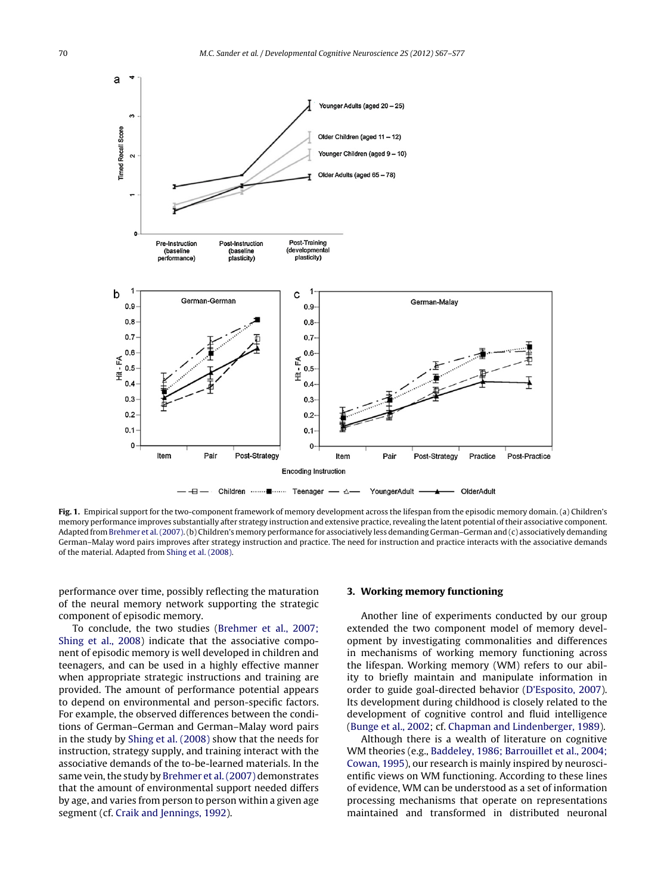<span id="page-3-0"></span>

**Fig. 1.** Empirical support for the two-component framework of memory development across the lifespan from the episodic memory domain. (a) Children's memory performance improves substantially after strategy instruction and extensive practice, revealing the latent potential oftheir associative component. Adapted from [Brehmer](#page-8-0) et [al.\(2007\).\(](#page-8-0)b) Children's memory performance for associatively less demanding German–German and (c) associatively demanding German–Malay word pairs improves after strategy instruction and practice. The need for instruction and practice interacts with the associative demands of the material. Adapted from [Shing](#page-10-0) et [al.](#page-10-0) [\(2008\).](#page-10-0)

performance over time, possibly reflecting the maturation of the neural memory network supporting the strategic component of episodic memory.

To conclude, the two studies ([Brehmer](#page-8-0) et [al.,](#page-8-0) [2007;](#page-8-0) [Shing](#page-8-0) et [al.,](#page-8-0) [2008\)](#page-8-0) indicate that the associative component of episodic memory is well developed in children and teenagers, and can be used in a highly effective manner when appropriate strategic instructions and training are provided. The amount of performance potential appears to depend on environmental and person-specific factors. For example, the observed differences between the conditions of German–German and German–Malay word pairs in the study by [Shing](#page-10-0) et [al.](#page-10-0) [\(2008\)](#page-10-0) show that the needs for instruction, strategy supply, and training interact with the associative demands of the to-be-learned materials. In the same vein, the study by [Brehmer](#page-8-0) et al. (2007) demonstrates that the amount of environmental support needed differs by age, and varies from person to person within a given age segment (cf. [Craik](#page-8-0) [and](#page-8-0) [Jennings,](#page-8-0) [1992\).](#page-8-0)

## **3. Working memory functioning**

Another line of experiments conducted by our group extended the two component model of memory development by investigating commonalities and differences in mechanisms of working memory functioning across the lifespan. Working memory (WM) refers to our ability to briefly maintain and manipulate information in order to guide goal-directed behavior ([D'Esposito,](#page-8-0) [2007\).](#page-8-0) Its development during childhood is closely related to the development of cognitive control and fluid intelligence [\(Bunge](#page-8-0) et [al.,](#page-8-0) [2002;](#page-8-0) cf. [Chapman](#page-8-0) [and](#page-8-0) [Lindenberger,](#page-8-0) [1989\).](#page-8-0)

Although there is a wealth of literature on cognitive WM theories (e.g., [Baddeley,](#page-8-0) [1986;](#page-8-0) [Barrouillet](#page-8-0) et [al.,](#page-8-0) [2004;](#page-8-0) [Cowan,](#page-8-0) [1995\),](#page-8-0) our research is mainly inspired by neuroscientific views on WM functioning. According to these lines of evidence, WM can be understood as a set of information processing mechanisms that operate on representations maintained and transformed in distributed neuronal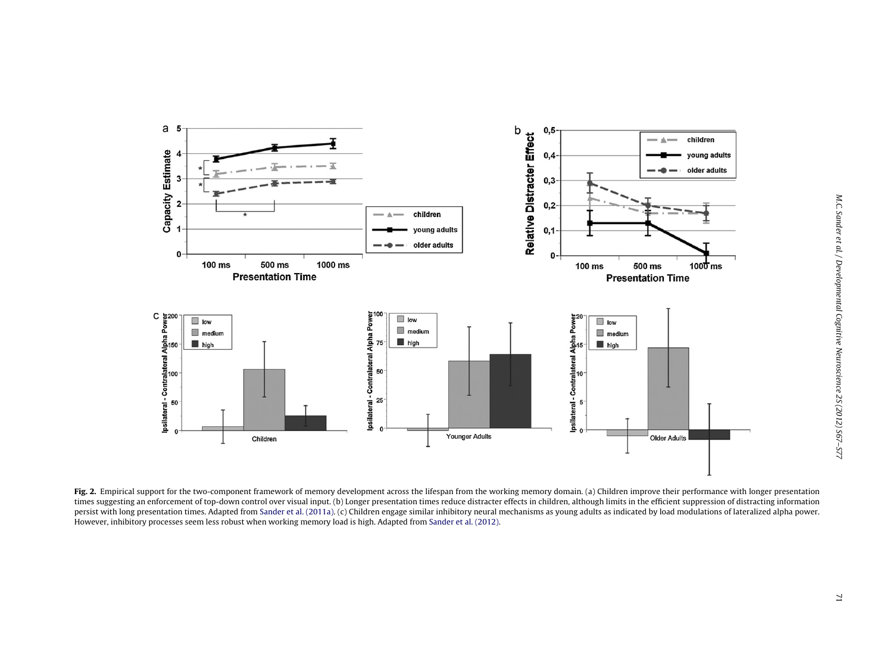<span id="page-4-0"></span>

**Fig. 2.** Empirical support for the two-component framework of memory development across the lifespan from the working memory domain. (a) Children improve their performance with longer presentation times suggesting an enf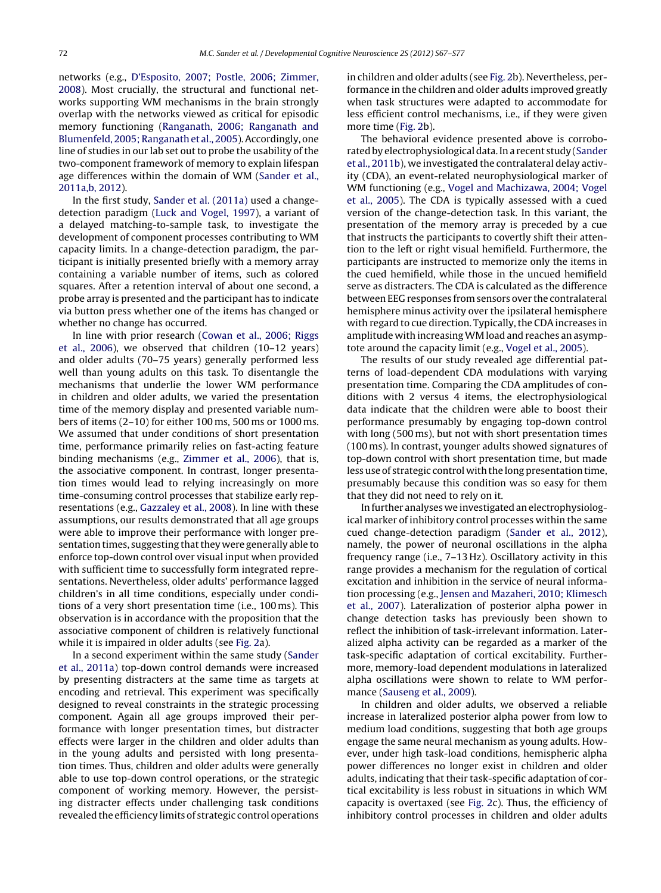networks (e.g., [D'Esposito,](#page-8-0) [2007;](#page-8-0) [Postle,](#page-8-0) [2006;](#page-8-0) [Zimmer,](#page-8-0) [2008\).](#page-8-0) Most crucially, the structural and functional networks supporting WM mechanisms in the brain strongly overlap with the networks viewed as critical for episodic memory functioning ([Ranganath,](#page-9-0) [2006;](#page-9-0) [Ranganath](#page-9-0) [and](#page-9-0) [Blumenfeld,](#page-9-0) [2005;Ranganathe](#page-9-0)t [al.,](#page-9-0) [2005\).](#page-9-0)Accordingly, one line of studies in our lab set out to probe the usability of the two-component framework of memory to explain lifespan age differences within the domain of WM ([Sander](#page-9-0) et [al.,](#page-9-0) [2011a,b,](#page-9-0) [2012\).](#page-9-0)

In the first study, [Sander](#page-9-0) et [al.](#page-9-0) [\(2011a\)](#page-9-0) used a changedetection paradigm ([Luck](#page-9-0) [and](#page-9-0) [Vogel,](#page-9-0) [1997\),](#page-9-0) a variant of a delayed matching-to-sample task, to investigate the development of component processes contributing to WM capacity limits. In a change-detection paradigm, the participant is initially presented briefly with a memory array containing a variable number of items, such as colored squares. After a retention interval of about one second, a probe array is presented and the participant has to indicate via button press whether one of the items has changed or whether no change has occurred.

In line with prior research [\(Cowan](#page-8-0) et [al.,](#page-8-0) [2006;](#page-8-0) [Riggs](#page-8-0) et [al.,](#page-8-0) [2006\),](#page-8-0) we observed that children (10–12 years) and older adults (70–75 years) generally performed less well than young adults on this task. To disentangle the mechanisms that underlie the lower WM performance in children and older adults, we varied the presentation time of the memory display and presented variable numbers of items (2–10) for either 100 ms, 500 ms or 1000 ms. We assumed that under conditions of short presentation time, performance primarily relies on fast-acting feature binding mechanisms (e.g., [Zimmer](#page-10-0) et [al.,](#page-10-0) [2006\),](#page-10-0) that is, the associative component. In contrast, longer presentation times would lead to relying increasingly on more time-consuming control processes that stabilize early representations (e.g., [Gazzaley](#page-9-0) et [al.,](#page-9-0) [2008\).](#page-9-0) In line with these assumptions, our results demonstrated that all age groups were able to improve their performance with longer presentation times, suggesting that they were generally able to enforce top-down control over visual input when provided with sufficient time to successfully form integrated representations. Nevertheless, older adults' performance lagged children's in all time conditions, especially under conditions of a very short presentation time (i.e., 100 ms). This observation is in accordance with the proposition that the associative component of children is relatively functional while it is impaired in older adults (see [Fig.](#page-4-0) 2a).

In a second experiment within the same study [\(Sander](#page-9-0) et [al.,](#page-9-0) [2011a\)](#page-9-0) top-down control demands were increased by presenting distracters at the same time as targets at encoding and retrieval. This experiment was specifically designed to reveal constraints in the strategic processing component. Again all age groups improved their performance with longer presentation times, but distracter effects were larger in the children and older adults than in the young adults and persisted with long presentation times. Thus, children and older adults were generally able to use top-down control operations, or the strategic component of working memory. However, the persisting distracter effects under challenging task conditions revealed the efficiency limits of strategic control operations in children and older adults (see [Fig.](#page-4-0) 2b). Nevertheless, performance in the children and older adults improved greatly when task structures were adapted to accommodate for less efficient control mechanisms, i.e., if they were given more time [\(Fig.](#page-4-0) 2b).

The behavioral evidence presented above is corrobo-rated by electrophysiological data. In a recent study [\(Sander](#page-9-0) et [al.,](#page-9-0) [2011b\),](#page-9-0) we investigated the contralateral delay activity (CDA), an event-related neurophysiological marker of WM functioning (e.g., [Vogel](#page-10-0) [and](#page-10-0) [Machizawa,](#page-10-0) [2004;](#page-10-0) [Vogel](#page-10-0) et [al.,](#page-10-0) [2005\).](#page-10-0) The CDA is typically assessed with a cued version of the change-detection task. In this variant, the presentation of the memory array is preceded by a cue that instructs the participants to covertly shift their attention to the left or right visual hemifield. Furthermore, the participants are instructed to memorize only the items in the cued hemifield, while those in the uncued hemifield serve as distracters. The CDA is calculated as the difference between EEG responses from sensors over the contralateral hemisphere minus activity over the ipsilateral hemisphere with regard to cue direction. Typically, the CDA increases in amplitude with increasingWM load and reaches an asymptote around the capacity limit (e.g., [Vogel](#page-10-0) et [al.,](#page-10-0) [2005\).](#page-10-0)

The results of our study revealed age differential patterns of load-dependent CDA modulations with varying presentation time. Comparing the CDA amplitudes of conditions with 2 versus 4 items, the electrophysiological data indicate that the children were able to boost their performance presumably by engaging top-down control with long (500 ms), but not with short presentation times (100 ms). In contrast, younger adults showed signatures of top-down control with short presentation time, but made less use of strategic control with the long presentation time, presumably because this condition was so easy for them that they did not need to rely on it.

In further analyses we investigated an electrophysiological marker of inhibitory control processes within the same cued change-detection paradigm ([Sander](#page-9-0) et [al.,](#page-9-0) [2012\),](#page-9-0) namely, the power of neuronal oscillations in the alpha frequency range (i.e., 7–13 Hz). Oscillatory activity in this range provides a mechanism for the regulation of cortical excitation and inhibition in the service of neural information processing (e.g., [Jensen](#page-9-0) [and](#page-9-0) [Mazaheri,](#page-9-0) [2010;](#page-9-0) [Klimesch](#page-9-0) et [al.,](#page-9-0) [2007\).](#page-9-0) Lateralization of posterior alpha power in change detection tasks has previously been shown to reflect the inhibition of task-irrelevant information. Lateralized alpha activity can be regarded as a marker of the task-specific adaptation of cortical excitability. Furthermore, memory-load dependent modulations in lateralized alpha oscillations were shown to relate to WM performance ([Sauseng](#page-9-0) et [al.,](#page-9-0) [2009\).](#page-9-0)

In children and older adults, we observed a reliable increase in lateralized posterior alpha power from low to medium load conditions, suggesting that both age groups engage the same neural mechanism as young adults. However, under high task-load conditions, hemispheric alpha power differences no longer exist in children and older adults, indicating that their task-specific adaptation of cortical excitability is less robust in situations in which WM capacity is overtaxed (see [Fig.](#page-4-0) 2c). Thus, the efficiency of inhibitory control processes in children and older adults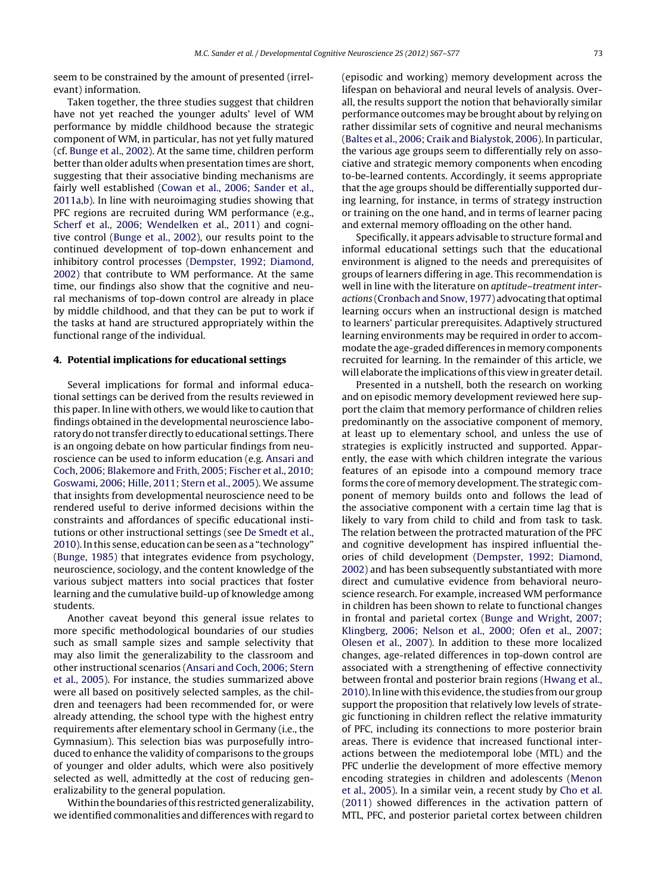seem to be constrained by the amount of presented (irrelevant) information.

Taken together, the three studies suggest that children have not yet reached the younger adults' level of WM performance by middle childhood because the strategic component of WM, in particular, has not yet fully matured (cf. [Bunge](#page-8-0) et [al.,](#page-8-0) [2002\).](#page-8-0) At the same time, children perform better than older adults when presentation times are short, suggesting that their associative binding mechanisms are fairly well established ([Cowan](#page-8-0) et [al.,](#page-8-0) [2006;](#page-8-0) [Sander](#page-8-0) et [al.,](#page-8-0) [2011a,b\).](#page-8-0) In line with neuroimaging studies showing that PFC regions are recruited during WM performance (e.g., [Scherf](#page-9-0) et [al.,](#page-9-0) [2006;](#page-9-0) [Wendelken](#page-9-0) et [al.,](#page-9-0) [2011\)](#page-9-0) and cognitive control ([Bunge](#page-8-0) et [al.,](#page-8-0) [2002\),](#page-8-0) our results point to the continued development of top-down enhancement and inhibitory control processes ([Dempster,](#page-8-0) [1992;](#page-8-0) [Diamond,](#page-8-0) [2002\)](#page-8-0) that contribute to WM performance. At the same time, our findings also show that the cognitive and neural mechanisms of top-down control are already in place by middle childhood, and that they can be put to work if the tasks at hand are structured appropriately within the functional range of the individual.

## **4. Potential implications for educational settings**

Several implications for formal and informal educational settings can be derived from the results reviewed in this paper. In line with others, we would like to caution that findings obtained in the developmental neuroscience laboratory do not transfer directly to educational settings. There is an ongoing debate on how particular findings from neuroscience can be used to inform education (e.g. [Ansari](#page-8-0) [and](#page-8-0) [Coch,](#page-8-0) [2006;](#page-8-0) [Blakemore](#page-8-0) [and](#page-8-0) [Frith,](#page-8-0) [2005;](#page-8-0) [Fischer](#page-8-0) et [al.,](#page-8-0) [2010;](#page-8-0) [Goswami,](#page-8-0) [2006;](#page-8-0) [Hille,](#page-8-0) [2011;](#page-8-0) [Stern](#page-8-0) et [al.,](#page-8-0) [2005\).](#page-8-0) We assume that insights from developmental neuroscience need to be rendered useful to derive informed decisions within the constraints and affordances of specific educational institutions or other instructional settings (see [De](#page-8-0) [Smedt](#page-8-0) et [al.,](#page-8-0) [2010\).](#page-8-0) In this sense, education can be seen as a "technology" [\(Bunge,](#page-8-0) [1985\)](#page-8-0) that integrates evidence from psychology, neuroscience, sociology, and the content knowledge of the various subject matters into social practices that foster learning and the cumulative build-up of knowledge among students.

Another caveat beyond this general issue relates to more specific methodological boundaries of our studies such as small sample sizes and sample selectivity that may also limit the generalizability to the classroom and other instructional scenarios ([Ansari](#page-8-0) [and](#page-8-0) [Coch,](#page-8-0) [2006;](#page-8-0) [Stern](#page-8-0) et [al.,](#page-8-0) [2005\).](#page-8-0) For instance, the studies summarized above were all based on positively selected samples, as the children and teenagers had been recommended for, or were already attending, the school type with the highest entry requirements after elementary school in Germany (i.e., the Gymnasium). This selection bias was purposefully introduced to enhance the validity of comparisons to the groups of younger and older adults, which were also positively selected as well, admittedly at the cost of reducing generalizability to the general population.

Within the boundaries ofthis restricted generalizability, we identified commonalities and differences with regard to

(episodic and working) memory development across the lifespan on behavioral and neural levels of analysis. Overall, the results support the notion that behaviorally similar performance outcomes may be brought about by relying on rather dissimilar sets of cognitive and neural mechanisms [\(Baltes](#page-8-0) et [al.,](#page-8-0) [2006;](#page-8-0) [Craik](#page-8-0) [and](#page-8-0) [Bialystok,](#page-8-0) [2006\).](#page-8-0) In particular, the various age groups seem to differentially rely on associative and strategic memory components when encoding to-be-learned contents. Accordingly, it seems appropriate that the age groups should be differentially supported during learning, for instance, in terms of strategy instruction or training on the one hand, and in terms of learner pacing and external memory offloading on the other hand.

Specifically, it appears advisable to structure formal and informal educational settings such that the educational environment is aligned to the needs and prerequisites of groups of learners differing in age. This recommendation is well in line with the literature on aptitude–treatment interactions [\(Cronbach](#page-8-0) [and](#page-8-0) [Snow,](#page-8-0) [1977\)](#page-8-0) advocating that optimal learning occurs when an instructional design is matched to learners' particular prerequisites. Adaptively structured learning environments may be required in order to accommodate the age-graded differences inmemory components recruited for learning. In the remainder of this article, we will elaborate the implications of this view in greater detail.

Presented in a nutshell, both the research on working and on episodic memory development reviewed here support the claim that memory performance of children relies predominantly on the associative component of memory, at least up to elementary school, and unless the use of strategies is explicitly instructed and supported. Apparently, the ease with which children integrate the various features of an episode into a compound memory trace forms the core of memory development. The strategic component of memory builds onto and follows the lead of the associative component with a certain time lag that is likely to vary from child to child and from task to task. The relation between the protracted maturation of the PFC and cognitive development has inspired influential theories of child development ([Dempster,](#page-8-0) [1992;](#page-8-0) [Diamond,](#page-8-0) [2002\)](#page-8-0) and has been subsequently substantiated with more direct and cumulative evidence from behavioral neuroscience research. For example, increased WM performance in children has been shown to relate to functional changes in frontal and parietal cortex ([Bunge](#page-8-0) [and](#page-8-0) [Wright,](#page-8-0) [2007;](#page-8-0) [Klingberg,](#page-8-0) [2006;](#page-8-0) [Nelson](#page-8-0) et [al.,](#page-8-0) [2000;](#page-8-0) [Ofen](#page-8-0) et [al.,](#page-8-0) [2007;](#page-8-0) [Olesen](#page-8-0) et [al.,](#page-8-0) [2007\).](#page-8-0) In addition to these more localized changes, age-related differences in top-down control are associated with a strengthening of effective connectivity between frontal and posterior brain regions ([Hwang](#page-9-0) et [al.,](#page-9-0) [2010\).](#page-9-0) In line with this evidence, the studies from our group support the proposition that relatively low levels of strategic functioning in children reflect the relative immaturity of PFC, including its connections to more posterior brain areas. There is evidence that increased functional interactions between the mediotemporal lobe (MTL) and the PFC underlie the development of more effective memory encoding strategies in children and adolescents [\(Menon](#page-9-0) et [al.,](#page-9-0) [2005\).](#page-9-0) In a similar vein, a recent study by [Cho](#page-8-0) et [al.](#page-8-0) [\(2011\)](#page-8-0) showed differences in the activation pattern of MTL, PFC, and posterior parietal cortex between children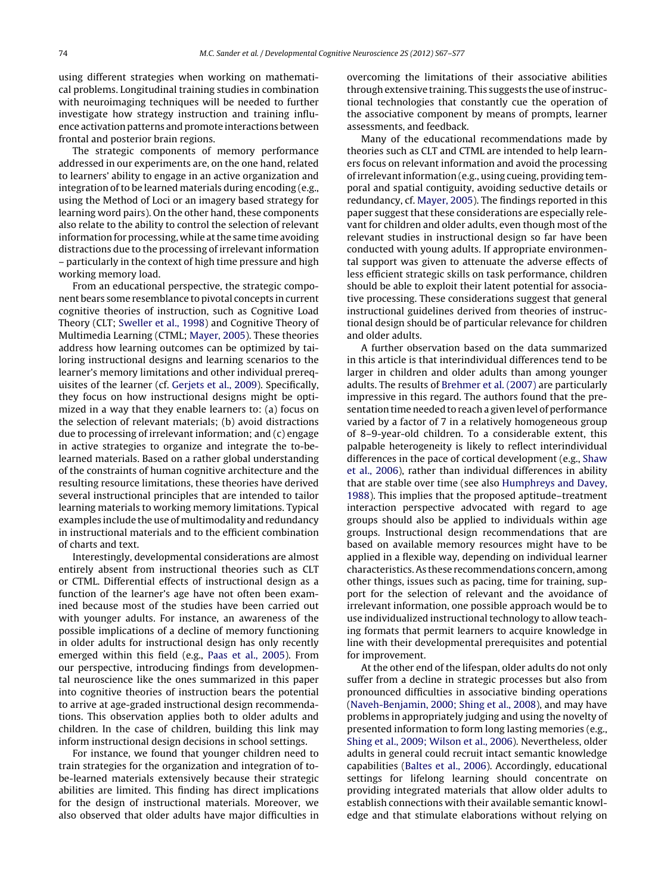using different strategies when working on mathematical problems. Longitudinal training studies in combination with neuroimaging techniques will be needed to further investigate how strategy instruction and training influence activation patterns and promote interactions between frontal and posterior brain regions.

The strategic components of memory performance addressed in our experiments are, on the one hand, related to learners' ability to engage in an active organization and integration of to be learned materials during encoding (e.g., using the Method of Loci or an imagery based strategy for learning word pairs). On the other hand, these components also relate to the ability to control the selection of relevant information for processing, while at the same time avoiding distractions due to the processing of irrelevant information – particularly in the context of high time pressure and high working memory load.

From an educational perspective, the strategic component bears some resemblance to pivotal concepts in current cognitive theories of instruction, such as Cognitive Load Theory (CLT; [Sweller](#page-10-0) et [al.,](#page-10-0) [1998\)](#page-10-0) and Cognitive Theory of Multimedia Learning (CTML; [Mayer,](#page-9-0) [2005\).](#page-9-0) These theories address how learning outcomes can be optimized by tailoring instructional designs and learning scenarios to the learner's memory limitations and other individual prerequisites of the learner (cf. [Gerjets](#page-9-0) et [al.,](#page-9-0) [2009\).](#page-9-0) Specifically, they focus on how instructional designs might be optimized in a way that they enable learners to: (a) focus on the selection of relevant materials; (b) avoid distractions due to processing of irrelevant information; and (c) engage in active strategies to organize and integrate the to-belearned materials. Based on a rather global understanding of the constraints of human cognitive architecture and the resulting resource limitations, these theories have derived several instructional principles that are intended to tailor learning materials to working memory limitations. Typical examples include the use of multimodality and redundancy in instructional materials and to the efficient combination of charts and text.

Interestingly, developmental considerations are almost entirely absent from instructional theories such as CLT or CTML. Differential effects of instructional design as a function of the learner's age have not often been examined because most of the studies have been carried out with younger adults. For instance, an awareness of the possible implications of a decline of memory functioning in older adults for instructional design has only recently emerged within this field (e.g., [Paas](#page-9-0) et [al.,](#page-9-0) [2005\).](#page-9-0) From our perspective, introducing findings from developmental neuroscience like the ones summarized in this paper into cognitive theories of instruction bears the potential to arrive at age-graded instructional design recommendations. This observation applies both to older adults and children. In the case of children, building this link may inform instructional design decisions in school settings.

For instance, we found that younger children need to train strategies for the organization and integration of tobe-learned materials extensively because their strategic abilities are limited. This finding has direct implications for the design of instructional materials. Moreover, we also observed that older adults have major difficulties in

overcoming the limitations of their associative abilities through extensive training. This suggests the use of instructional technologies that constantly cue the operation of the associative component by means of prompts, learner assessments, and feedback.

Many of the educational recommendations made by theories such as CLT and CTML are intended to help learners focus on relevant information and avoid the processing of irrelevant information (e.g., using cueing, providing temporal and spatial contiguity, avoiding seductive details or redundancy, cf. [Mayer,](#page-9-0) [2005\).](#page-9-0) The findings reported in this paper suggest that these considerations are especially relevant for children and older adults, even though most of the relevant studies in instructional design so far have been conducted with young adults. If appropriate environmental support was given to attenuate the adverse effects of less efficient strategic skills on task performance, children should be able to exploit their latent potential for associative processing. These considerations suggest that general instructional guidelines derived from theories of instructional design should be of particular relevance for children and older adults.

A further observation based on the data summarized in this article is that interindividual differences tend to be larger in children and older adults than among younger adults. The results of [Brehmer](#page-8-0) et [al.](#page-8-0) [\(2007\)](#page-8-0) are particularly impressive in this regard. The authors found that the presentation time needed to reach a given level of performance varied by a factor of 7 in a relatively homogeneous group of 8–9-year-old children. To a considerable extent, this palpable heterogeneity is likely to reflect interindividual differences in the pace of cortical development (e.g., [Shaw](#page-10-0) et [al.,](#page-10-0) [2006\),](#page-10-0) rather than individual differences in ability that are stable over time (see also [Humphreys](#page-9-0) [and](#page-9-0) [Davey,](#page-9-0) [1988\).](#page-9-0) This implies that the proposed aptitude–treatment interaction perspective advocated with regard to age groups should also be applied to individuals within age groups. Instructional design recommendations that are based on available memory resources might have to be applied in a flexible way, depending on individual learner characteristics.As these recommendations concern, among other things, issues such as pacing, time for training, support for the selection of relevant and the avoidance of irrelevant information, one possible approach would be to use individualized instructional technology to allow teaching formats that permit learners to acquire knowledge in line with their developmental prerequisites and potential for improvement.

At the other end of the lifespan, older adults do not only suffer from a decline in strategic processes but also from pronounced difficulties in associative binding operations [\(Naveh-Benjamin,](#page-9-0) [2000;](#page-9-0) [Shing](#page-9-0) et [al.,](#page-9-0) [2008\),](#page-9-0) and may have problems in appropriately judging and using the novelty of presented information to form long lasting memories (e.g., [Shing](#page-10-0) et [al.,](#page-10-0) [2009;](#page-10-0) [Wilson](#page-10-0) et [al.,](#page-10-0) [2006\).](#page-10-0) Nevertheless, older adults in general could recruit intact semantic knowledge capabilities ([Baltes](#page-8-0) et [al.,](#page-8-0) [2006\).](#page-8-0) Accordingly, educational settings for lifelong learning should concentrate on providing integrated materials that allow older adults to establish connections with their available semantic knowledge and that stimulate elaborations without relying on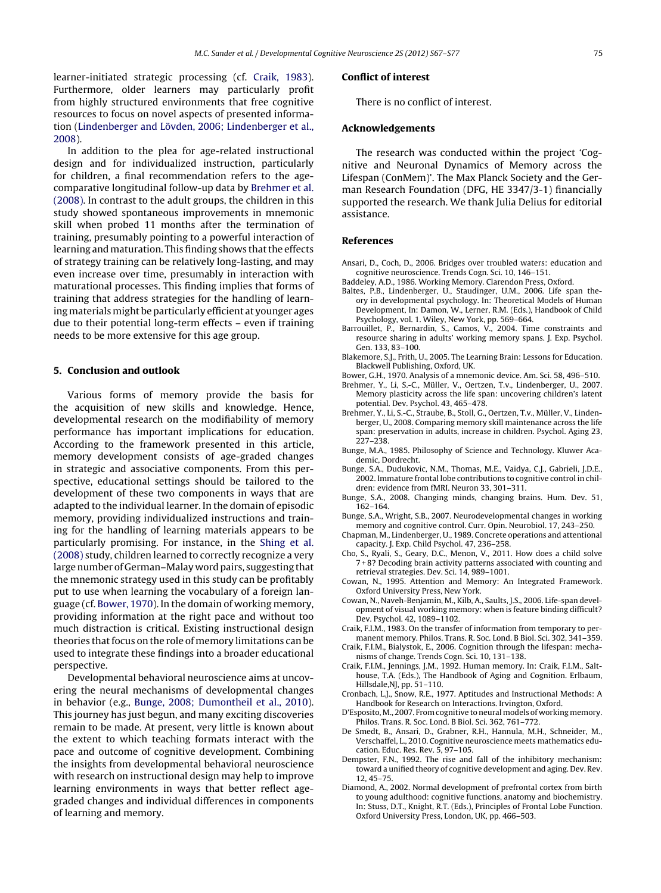<span id="page-8-0"></span>learner-initiated strategic processing (cf. Craik, 1983). Furthermore, older learners may particularly profit from highly structured environments that free cognitive resources to focus on novel aspects of presented information ([Lindenberger](#page-9-0) [and](#page-9-0) [Lövden,](#page-9-0) [2006;](#page-9-0) [Lindenberger](#page-9-0) et [al.,](#page-9-0) [2008\).](#page-9-0)

In addition to the plea for age-related instructional design and for individualized instruction, particularly for children, a final recommendation refers to the agecomparative longitudinal follow-up data by Brehmer et al. (2008). In contrast to the adult groups, the children in this study showed spontaneous improvements in mnemonic skill when probed 11 months after the termination of training, presumably pointing to a powerful interaction of learning and maturation. This finding shows that the effects of strategy training can be relatively long-lasting, and may even increase over time, presumably in interaction with maturational processes. This finding implies that forms of training that address strategies for the handling of learning materials might be particularly efficient at younger ages due to their potential long-term effects – even if training needs to be more extensive for this age group.

#### **5. Conclusion and outlook**

Various forms of memory provide the basis for the acquisition of new skills and knowledge. Hence, developmental research on the modifiability of memory performance has important implications for education. According to the framework presented in this article, memory development consists of age-graded changes in strategic and associative components. From this perspective, educational settings should be tailored to the development of these two components in ways that are adapted to the individual learner. In the domain of episodic memory, providing individualized instructions and training for the handling of learning materials appears to be particularly promising. For instance, in the [Shing](#page-10-0) et [al.](#page-10-0) [\(2008\)](#page-10-0) study, children learned to correctly recognize a very large number of German–Malay word pairs, suggesting that the mnemonic strategy used in this study can be profitably put to use when learning the vocabulary of a foreign language (cf. Bower, 1970). In the domain of working memory, providing information at the right pace and without too much distraction is critical. Existing instructional design theories that focus on the role of memory limitations can be used to integrate these findings into a broader educational perspective.

Developmental behavioral neuroscience aims at uncovering the neural mechanisms of developmental changes in behavior (e.g., Bunge, 2008; Dumontheil et al., 2010). This journey has just begun, and many exciting discoveries remain to be made. At present, very little is known about the extent to which teaching formats interact with the pace and outcome of cognitive development. Combining the insights from developmental behavioral neuroscience with research on instructional design may help to improve learning environments in ways that better reflect agegraded changes and individual differences in components of learning and memory.

## **Conflict of interest**

There is no conflict of interest.

#### **Acknowledgements**

The research was conducted within the project 'Cognitive and Neuronal Dynamics of Memory across the Lifespan (ConMem)'. The Max Planck Society and the German Research Foundation (DFG, HE 3347/3-1) financially supported the research. We thank Julia Delius for editorial assistance.

## **References**

- Ansari, D., Coch, D., 2006. Bridges over troubled waters: education and cognitive neuroscience. Trends Cogn. Sci. 10, 146–151.
- Baddeley, A.D., 1986. Working Memory. Clarendon Press, Oxford.
- Baltes, P.B., Lindenberger, U., Staudinger, U.M., 2006. Life span theory in developmental psychology. In: Theoretical Models of Human Development, In: Damon, W., Lerner, R.M. (Eds.), Handbook of Child Psychology, vol. 1. Wiley, New York, pp. 569–664.
- Barrouillet, P., Bernardin, S., Camos, V., 2004. Time constraints and resource sharing in adults' working memory spans. J. Exp. Psychol. Gen. 133, 83–100.
- Blakemore, S.J., Frith, U., 2005. The Learning Brain: Lessons for Education. Blackwell Publishing, Oxford, UK.
- Bower, G.H., 1970. Analysis of a mnemonic device. Am. Sci. 58, 496–510.
- Brehmer, Y., Li, S.-C., Müller, V., Oertzen, T.v., Lindenberger, U., 2007. Memory plasticity across the life span: uncovering children's latent potential. Dev. Psychol. 43, 465–478.
- Brehmer, Y., Li, S.-C., Straube, B., Stoll, G., Oertzen, T.v., Müller, V., Lindenberger, U., 2008. Comparing memory skill maintenance across the life span: preservation in adults, increase in children. Psychol. Aging 23, 227–238.
- Bunge, M.A., 1985. Philosophy of Science and Technology. Kluwer Academic, Dordrecht.
- Bunge, S.A., Dudukovic, N.M., Thomas, M.E., Vaidya, C.J., Gabrieli, J.D.E., 2002. Immature frontal lobe contributions to cognitive control in children: evidence from fMRI. Neuron 33, 301–311.
- Bunge, S.A., 2008. Changing minds, changing brains. Hum. Dev. 51, 162–164.
- Bunge, S.A., Wright, S.B., 2007. Neurodevelopmental changes in working memory and cognitive control. Curr. Opin. Neurobiol. 17, 243–250.
- Chapman, M., Lindenberger, U., 1989. Concrete operations and attentional capacity. J. Exp. Child Psychol. 47, 236–258.
- Cho, S., Ryali, S., Geary, D.C., Menon, V., 2011. How does a child solve 7 + 8? Decoding brain activity patterns associated with counting and retrieval strategies. Dev. Sci. 14, 989–1001.
- Cowan, N., 1995. Attention and Memory: An Integrated Framework. Oxford University Press, New York.
- Cowan, N., Naveh-Benjamin, M., Kilb, A., Saults, J.S., 2006. Life-span development of visual working memory: when is feature binding difficult? Dev. Psychol. 42, 1089–1102.
- Craik, F.I.M., 1983. On the transfer of information from temporary to permanent memory. Philos. Trans. R. Soc. Lond. B Biol. Sci. 302, 341–359.
- Craik, F.I.M., Bialystok, E., 2006. Cognition through the lifespan: mechanisms of change. Trends Cogn. Sci. 10, 131–138.
- Craik, F.I.M., Jennings, J.M., 1992. Human memory. In: Craik, F.I.M., Salthouse, T.A. (Eds.), The Handbook of Aging and Cognition. Erlbaum, Hillsdale,NJ, pp. 51–110.
- Cronbach, L.J., Snow, R.E., 1977. Aptitudes and Instructional Methods: A Handbook for Research on Interactions. Irvington, Oxford.
- D'Esposito, M., 2007. From cognitive to neural models of working memory. Philos. Trans. R. Soc. Lond. B Biol. Sci. 362, 761–772.
- De Smedt, B., Ansari, D., Grabner, R.H., Hannula, M.H., Schneider, M., Verschaffel, L., 2010. Cognitive neuroscience meets mathematics education. Educ. Res. Rev. 5, 97–105.
- Dempster, F.N., 1992. The rise and fall of the inhibitory mechanism: toward a unified theory of cognitive development and aging. Dev. Rev. 12, 45–75.
- Diamond, A., 2002. Normal development of prefrontal cortex from birth to young adulthood: cognitive functions, anatomy and biochemistry. In: Stuss, D.T., Knight, R.T. (Eds.), Principles of Frontal Lobe Function. Oxford University Press, London, UK, pp. 466–503.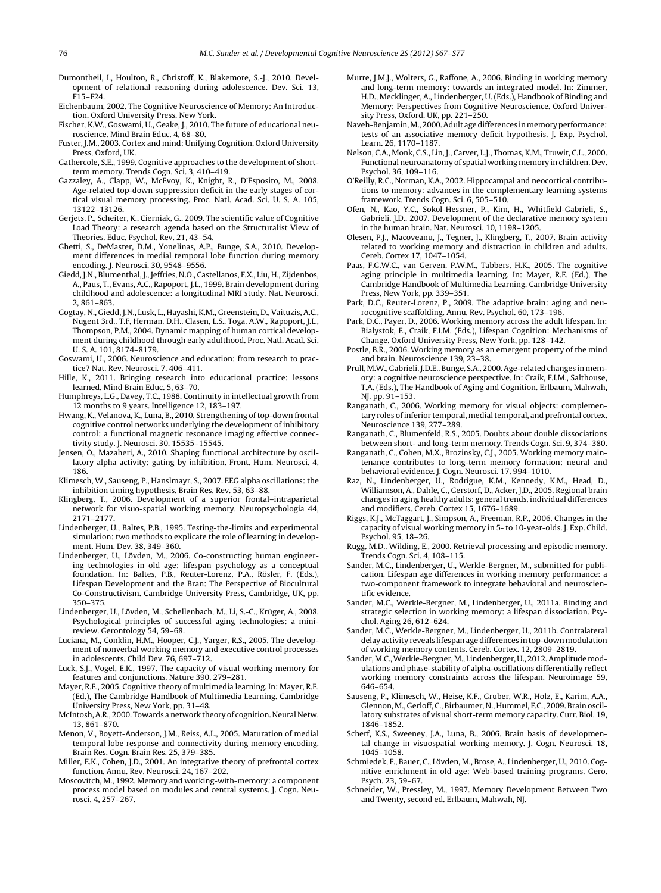- <span id="page-9-0"></span>Dumontheil, I., Houlton, R., Christoff, K., Blakemore, S.-J., 2010. Development of relational reasoning during adolescence. Dev. Sci. 13, F15–F24.
- Eichenbaum, 2002. The Cognitive Neuroscience of Memory: An Introduction. Oxford University Press, New York.
- Fischer, K.W., Goswami, U., Geake, J., 2010. The future of educational neuroscience. Mind Brain Educ. 4, 68–80.
- Fuster, J.M., 2003. Cortex and mind: Unifying Cognition. Oxford University Press, Oxford, UK.
- Gathercole, S.E., 1999. Cognitive approaches to the development of shortterm memory. Trends Cogn. Sci. 3, 410–419.
- Gazzaley, A., Clapp, W., McEvoy, K., Knight, R., D'Esposito, M., 2008. Age-related top-down suppression deficit in the early stages of cortical visual memory processing. Proc. Natl. Acad. Sci. U. S. A. 105, 13122–13126.
- Gerjets, P., Scheiter, K., Cierniak, G., 2009. The scientific value of Cognitive Load Theory: a research agenda based on the Structuralist View of Theories. Educ. Psychol. Rev. 21, 43–54.
- Ghetti, S., DeMaster, D.M., Yonelinas, A.P., Bunge, S.A., 2010. Development differences in medial temporal lobe function during memory encoding. J. Neurosci. 30, 9548–9556.
- Giedd, J.N., Blumenthal, J., Jeffries, N.O., Castellanos, F.X., Liu, H., Zijdenbos, A., Paus, T., Evans, A.C., Rapoport, J.L., 1999. Brain development during childhood and adolescence: a longitudinal MRI study. Nat. Neurosci. 2, 861–863.
- Gogtay, N., Giedd, J.N., Lusk, L., Hayashi, K.M., Greenstein, D., Vaituzis, A.C., Nugent 3rd., T.F, Herman, D.H., Clasen, L.S., Toga, A.W., Rapoport, J.L., Thompson, P.M., 2004. Dynamic mapping of human cortical development during childhood through early adulthood. Proc. Natl. Acad. Sci. U. S. A. 101, 8174–8179.
- Goswami, U., 2006. Neuroscience and education: from research to practice? Nat. Rev. Neurosci. 7, 406–411.
- Hille, K., 2011. Bringing research into educational practice: lessons learned. Mind Brain Educ. 5, 63–70.
- Humphreys, L.G., Davey, T.C., 1988. Continuity in intellectual growth from 12 months to 9 years. Intelligence 12, 183–197.
- Hwang, K., Velanova, K., Luna, B., 2010. Strengthening of top-down frontal cognitive control networks underlying the development of inhibitory control: a functional magnetic resonance imaging effective connectivity study. J. Neurosci. 30, 15535–15545.
- Jensen, O., Mazaheri, A., 2010. Shaping functional architecture by oscillatory alpha activity: gating by inhibition. Front. Hum. Neurosci. 4, 186.
- Klimesch, W., Sauseng, P., Hanslmayr, S., 2007. EEG alpha oscillations: the inhibition timing hypothesis. Brain Res. Rev. 53, 63–88.
- Klingberg, T., 2006. Development of a superior frontal–intraparietal network for visuo-spatial working memory. Neuropsychologia 44, 2171–2177.
- Lindenberger, U., Baltes, P.B., 1995. Testing-the-limits and experimental simulation: two methods to explicate the role of learning in development. Hum. Dev. 38, 349–360.
- Lindenberger, U., Lövden, M., 2006. Co-constructing human engineering technologies in old age: lifespan psychology as a conceptual foundation. In: Baltes, P.B., Reuter-Lorenz, P.A., Rösler, F. (Eds.), Lifespan Development and the Bran: The Perspective of Biocultural Co-Constructivism. Cambridge University Press, Cambridge, UK, pp. 350–375.
- Lindenberger, U., Lövden, M., Schellenbach, M., Li, S.-C., Krüger, A., 2008. Psychological principles of successful aging technologies: a minireview. Gerontology 54, 59–68.
- Luciana, M., Conklin, H.M., Hooper, C.J., Yarger, R.S., 2005. The development of nonverbal working memory and executive control processes in adolescents. Child Dev. 76, 697–712.
- Luck, S.J., Vogel, E.K., 1997. The capacity of visual working memory for features and conjunctions. Nature 390, 279–281.
- Mayer, R.E., 2005. Cognitive theory of multimedia learning. In: Mayer, R.E. (Ed.), The Cambridge Handbook of Multimedia Learning. Cambridge University Press, New York, pp. 31–48.
- McIntosh,A.R., 2000. Towards a network theory of cognition. Neural Netw. 13, 861–870.
- Menon, V., Boyett-Anderson, J.M., Reiss, A.L., 2005. Maturation of medial temporal lobe response and connectivity during memory encoding. Brain Res. Cogn. Brain Res. 25, 379–385.
- Miller, E.K., Cohen, J.D., 2001. An integrative theory of prefrontal cortex function. Annu. Rev. Neurosci. 24, 167–202.
- Moscovitch, M., 1992. Memory and working-with-memory: a component process model based on modules and central systems. J. Cogn. Neurosci. 4, 257–267.
- Murre, J.M.J., Wolters, G., Raffone, A., 2006. Binding in working memory and long-term memory: towards an integrated model. In: Zimmer, H.D., Mecklinger, A., Lindenberger, U. (Eds.), Handbook of Binding and Memory: Perspectives from Cognitive Neuroscience. Oxford University Press, Oxford, UK, pp. 221–250.
- Naveh-Benjamin, M., 2000. Adult age differences in memory performance: tests of an associative memory deficit hypothesis. J. Exp. Psychol. Learn. 26, 1170–1187.
- Nelson, C.A., Monk, C.S., Lin, J., Carver, L.J., Thomas, K.M., Truwit, C.L., 2000. Functional neuroanatomy of spatial working memory in children. Dev. Psychol. 36, 109–116.
- O'Reilly, R.C., Norman, K.A., 2002. Hippocampal and neocortical contributions to memory: advances in the complementary learning systems framework. Trends Cogn. Sci. 6, 505–510.
- Ofen, N., Kao, Y.C., Sokol-Hessner, P., Kim, H., Whitfield-Gabrieli, S., Gabrieli, J.D., 2007. Development of the declarative memory system in the human brain. Nat. Neurosci. 10, 1198–1205.
- Olesen, P.J., Macoveanu, J., Tegner, J., Klingberg, T., 2007. Brain activity related to working memory and distraction in children and adults. Cereb. Cortex 17, 1047–1054.
- Paas, F.G.W.C., van Gerven, P.W.M., Tabbers, H.K., 2005. The cognitive aging principle in multimedia learning. In: Mayer, R.E. (Ed.), The Cambridge Handbook of Multimedia Learning. Cambridge University Press, New York, pp. 339–351.
- Park, D.C., Reuter-Lorenz, P., 2009. The adaptive brain: aging and neurocognitive scaffolding. Annu. Rev. Psychol. 60, 173–196.
- Park, D.C., Payer, D., 2006. Working memory across the adult lifespan. In: Bialystok, E., Craik, F.I.M. (Eds.), Lifespan Cognition: Mechanisms of Change. Oxford University Press, New York, pp. 128–142.
- Postle, B.R., 2006. Working memory as an emergent property of the mind and brain. Neuroscience 139, 23–38.
- Prull, M.W., Gabrieli, J.D.E., Bunge, S.A., 2000. Age-related changes in memory: a cognitive neuroscience perspective. In: Craik, F.I.M., Salthouse, T.A. (Eds.), The Handbook of Aging and Cognition. Erlbaum, Mahwah, NJ, pp. 91–153.
- Ranganath, C., 2006. Working memory for visual objects: complementary roles of inferior temporal, medialtemporal, and prefrontal cortex. Neuroscience 139, 277–289.
- Ranganath, C., Blumenfeld, R.S., 2005. Doubts about double dissociations between short- and long-term memory. Trends Cogn. Sci. 9, 374–380.
- Ranganath, C., Cohen, M.X., Brozinsky, C.J., 2005. Working memory maintenance contributes to long-term memory formation: neural and behavioral evidence. J. Cogn. Neurosci. 17, 994–1010.
- Raz, N., Lindenberger, U., Rodrigue, K.M., Kennedy, K.M., Head, D., Williamson, A., Dahle, C., Gerstorf, D., Acker, J.D., 2005. Regional brain changes in aging healthy adults: general trends, individual differences and modifiers. Cereb. Cortex 15, 1676–1689.
- Riggs, K.J., McTaggart, J., Simpson, A., Freeman, R.P., 2006. Changes in the capacity of visual working memory in 5- to 10-year-olds. J. Exp. Child. Psychol. 95, 18–26.
- Rugg, M.D., Wilding, E., 2000. Retrieval processing and episodic memory. Trends Cogn. Sci. 4, 108–115.
- Sander, M.C., Lindenberger, U., Werkle-Bergner, M., submitted for publication. Lifespan age differences in working memory performance: a two-component framework to integrate behavioral and neuroscientific evidence.
- Sander, M.C., Werkle-Bergner, M., Lindenberger, U., 2011a. Binding and strategic selection in working memory: a lifespan dissociation. Psychol. Aging 26, 612–624.
- Sander, M.C., Werkle-Bergner, M., Lindenberger, U., 2011b. Contralateral delay activity reveals lifespan age differences in top-downmodulation of working memory contents. Cereb. Cortex. 12, 2809–2819.
- Sander, M.C., Werkle-Bergner, M., Lindenberger, U., 2012. Amplitude modulations and phase-stability of alpha-oscillations differentially reflect working memory constraints across the lifespan. Neuroimage 59, 646–654.
- Sauseng, P., Klimesch, W., Heise, K.F., Gruber, W.R., Holz, E., Karim, A.A., Glennon, M., Gerloff, C., Birbaumer, N., Hummel, F.C., 2009. Brain oscillatory substrates of visual short-term memory capacity. Curr. Biol. 19, 1846–1852.
- Scherf, K.S., Sweeney, J.A., Luna, B., 2006. Brain basis of developmental change in visuospatial working memory. J. Cogn. Neurosci. 18, 1045–1058.
- Schmiedek, F., Bauer, C., Lövden, M., Brose, A., Lindenberger, U., 2010. Cognitive enrichment in old age: Web-based training programs. Gero. Psych. 23, 59–67.
- Schneider, W., Pressley, M., 1997. Memory Development Between Two and Twenty, second ed. Erlbaum, Mahwah, NJ.